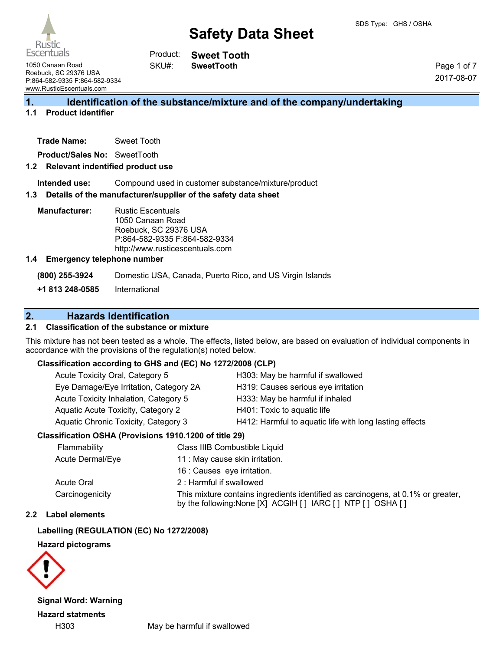

**Sweet Tooth SweetTooth** Product: SKU#:

1050 Canaan Road Roebuck, SC 29376 USA P:864-582-9335 F:864-582-9334 www.RusticEscentuals.com

Page 1 of 7 2017-08-07

## **1. Identification of the substance/mixture and of the company/undertaking**

## **1.1 Product identifier**

**Trade Name:** Sweet Tooth

**Product/Sales No:** SweetTooth

## **1.2 Relevant indentified product use**

**Intended use:** Compound used in customer substance/mixture/product

### **1.3 Details of the manufacturer/supplier of the safety data sheet**

**Manufacturer:** Rustic Escentuals 1050 Canaan Road Roebuck, SC 29376 USA P:864-582-9335 F:864-582-9334 http://www.rusticescentuals.com

### **1.4 Emergency telephone number**

**(800) 255-3924** Domestic USA, Canada, Puerto Rico, and US Virgin Islands

**+1 813 248-0585** International

## **2. Hazards Identification**

## **2.1 Classification of the substance or mixture**

This mixture has not been tested as a whole. The effects, listed below, are based on evaluation of individual components in accordance with the provisions of the regulation(s) noted below.

## **Classification according to GHS and (EC) No 1272/2008 (CLP)**

| Acute Toxicity Oral, Category 5        | H303: May be harmful if swallowed                       |
|----------------------------------------|---------------------------------------------------------|
| Eye Damage/Eye Irritation, Category 2A | H319: Causes serious eye irritation                     |
| Acute Toxicity Inhalation, Category 5  | H333: May be harmful if inhaled                         |
| Aquatic Acute Toxicity, Category 2     | H401: Toxic to aquatic life                             |
| Aquatic Chronic Toxicity, Category 3   | H412: Harmful to aquatic life with long lasting effects |
|                                        |                                                         |

## **Classification OSHA (Provisions 1910.1200 of title 29)**

| Flammability     | Class IIIB Combustible Liquid                                                                                                                  |
|------------------|------------------------------------------------------------------------------------------------------------------------------------------------|
| Acute Dermal/Eye | 11 : May cause skin irritation.                                                                                                                |
|                  | 16 : Causes eye irritation.                                                                                                                    |
| Acute Oral       | 2: Harmful if swallowed                                                                                                                        |
| Carcinogenicity  | This mixture contains ingredients identified as carcinogens, at 0.1% or greater,<br>by the following: None [X] ACGIH [] IARC [] NTP [] OSHA [] |

### **2.2 Label elements**

## **Labelling (REGULATION (EC) No 1272/2008)**

## **Hazard pictograms**



**Signal Word: Warning**

**Hazard statments**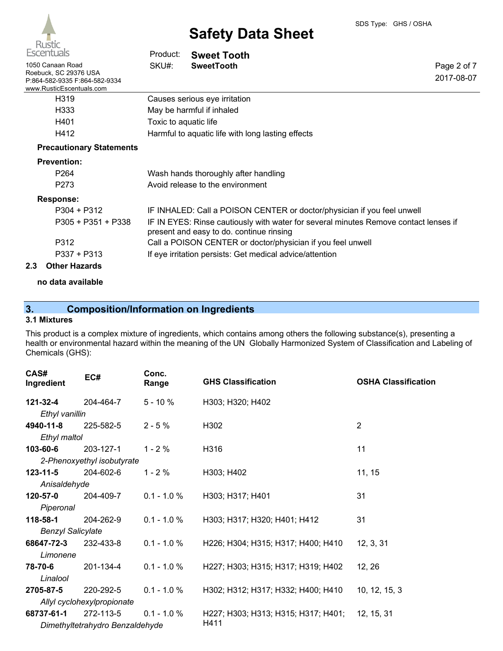| <b>Escentuals</b>                                                                                      | Product:              | <b>Sweet Tooth</b>                                                                                                               |                           |  |
|--------------------------------------------------------------------------------------------------------|-----------------------|----------------------------------------------------------------------------------------------------------------------------------|---------------------------|--|
| 1050 Canaan Road<br>Roebuck, SC 29376 USA<br>P:864-582-9335 F:864-582-9334<br>www.RusticEscentuals.com | SKU#:                 | <b>SweetTooth</b>                                                                                                                | Page 2 of 7<br>2017-08-07 |  |
| H319                                                                                                   |                       | Causes serious eye irritation                                                                                                    |                           |  |
| H333                                                                                                   |                       | May be harmful if inhaled                                                                                                        |                           |  |
| H401                                                                                                   | Toxic to aquatic life |                                                                                                                                  |                           |  |
| H412                                                                                                   |                       | Harmful to aquatic life with long lasting effects                                                                                |                           |  |
| <b>Precautionary Statements</b>                                                                        |                       |                                                                                                                                  |                           |  |
| <b>Prevention:</b>                                                                                     |                       |                                                                                                                                  |                           |  |
| P <sub>264</sub>                                                                                       |                       | Wash hands thoroughly after handling                                                                                             |                           |  |
| P <sub>273</sub>                                                                                       |                       | Avoid release to the environment                                                                                                 |                           |  |
| <b>Response:</b>                                                                                       |                       |                                                                                                                                  |                           |  |
| $P304 + P312$                                                                                          |                       | IF INHALED: Call a POISON CENTER or doctor/physician if you feel unwell                                                          |                           |  |
| P305 + P351 + P338                                                                                     |                       | IF IN EYES: Rinse cautiously with water for several minutes Remove contact lenses if<br>present and easy to do. continue rinsing |                           |  |
| P312                                                                                                   |                       | Call a POISON CENTER or doctor/physician if you feel unwell                                                                      |                           |  |
| $P337 + P313$                                                                                          |                       | If eye irritation persists: Get medical advice/attention                                                                         |                           |  |

## **2.3 Other Hazards**

### **no data available**

## **3. Composition/Information on Ingredients**

## **3.1 Mixtures**

This product is a complex mixture of ingredients, which contains among others the following substance(s), presenting a health or environmental hazard within the meaning of the UN Globally Harmonized System of Classification and Labeling of Chemicals (GHS):

| CAS#<br>Ingredient         | EC#                             | Conc.<br>Range | <b>GHS Classification</b>           | <b>OSHA Classification</b> |
|----------------------------|---------------------------------|----------------|-------------------------------------|----------------------------|
| $121 - 32 - 4$             | 204-464-7                       | $5 - 10%$      | H303; H320; H402                    |                            |
| Ethyl vanillin             |                                 |                |                                     |                            |
| 4940-11-8                  | 225-582-5                       | $2 - 5%$       | H302                                | $\overline{2}$             |
| Ethyl maltol               |                                 |                |                                     |                            |
| 103-60-6                   | 203-127-1                       | $1 - 2%$       | H316                                | 11                         |
|                            | 2-Phenoxyethyl isobutyrate      |                |                                     |                            |
| $123 - 11 - 5$             | 204-602-6                       | $1 - 2%$       | H303; H402                          | 11, 15                     |
| Anisaldehyde               |                                 |                |                                     |                            |
| 120-57-0                   | 204-409-7                       | $0.1 - 1.0 %$  | H303; H317; H401                    | 31                         |
| Piperonal                  |                                 |                |                                     |                            |
| 118-58-1                   | 204-262-9                       | $0.1 - 1.0 %$  | H303; H317; H320; H401; H412        | 31                         |
| <b>Benzyl Salicylate</b>   |                                 |                |                                     |                            |
| 68647-72-3                 | 232-433-8                       | $0.1 - 1.0 %$  | H226; H304; H315; H317; H400; H410  | 12, 3, 31                  |
| Limonene                   |                                 |                |                                     |                            |
| 78-70-6                    | 201-134-4                       | $0.1 - 1.0 %$  | H227; H303; H315; H317; H319; H402  | 12, 26                     |
| Linalool                   |                                 |                |                                     |                            |
| 2705-87-5                  | 220-292-5                       | $0.1 - 1.0 \%$ | H302; H312; H317; H332; H400; H410  | 10, 12, 15, 3              |
| Allyl cyclohexylpropionate |                                 |                |                                     |                            |
| 68737-61-1                 | 272-113-5                       | $0.1 - 1.0 %$  | H227; H303; H313; H315; H317; H401; | 12, 15, 31                 |
|                            | Dimethyltetrahydro Benzaldehyde |                | H411                                |                            |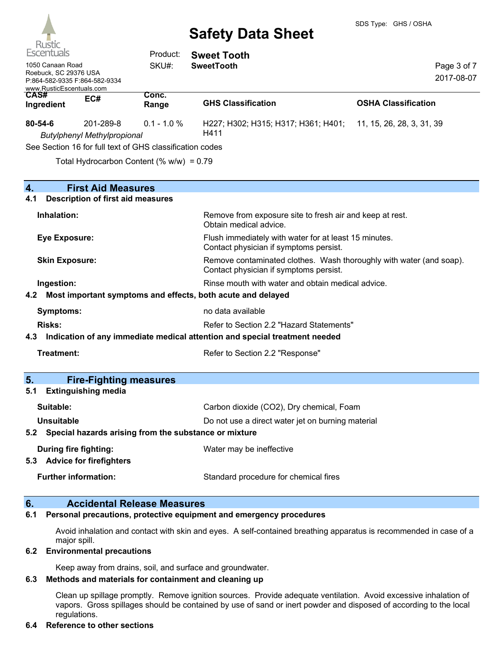

| <b>KUSUC</b><br>Escentuals<br>1050 Canaan Road<br>Roebuck, SC 29376 USA<br>P:864-582-9335 F:864-582-9334<br>www.RusticEscentuals.com |                                                             | Product:<br>SKU#:                                        | <b>Sweet Tooth</b><br><b>SweetTooth</b>                                                                       | Page 3 of 7<br>2017-08-07  |
|--------------------------------------------------------------------------------------------------------------------------------------|-------------------------------------------------------------|----------------------------------------------------------|---------------------------------------------------------------------------------------------------------------|----------------------------|
| CAS#<br>Ingredient                                                                                                                   | EC#                                                         | Conc.<br>Range                                           | <b>GHS Classification</b>                                                                                     | <b>OSHA Classification</b> |
| 80-54-6                                                                                                                              | 201-289-8<br><b>Butylphenyl Methylpropional</b>             | $0.1 - 1.0 %$                                            | H227; H302; H315; H317; H361; H401;<br>H411                                                                   | 11, 15, 26, 28, 3, 31, 39  |
|                                                                                                                                      |                                                             | See Section 16 for full text of GHS classification codes |                                                                                                               |                            |
|                                                                                                                                      |                                                             | Total Hydrocarbon Content (% w/w) = 0.79                 |                                                                                                               |                            |
| 4.                                                                                                                                   | <b>First Aid Measures</b>                                   |                                                          |                                                                                                               |                            |
| 4.1                                                                                                                                  | <b>Description of first aid measures</b>                    |                                                          |                                                                                                               |                            |
| Inhalation:                                                                                                                          |                                                             |                                                          | Remove from exposure site to fresh air and keep at rest.<br>Obtain medical advice.                            |                            |
| <b>Eye Exposure:</b>                                                                                                                 |                                                             |                                                          | Flush immediately with water for at least 15 minutes.<br>Contact physician if symptoms persist.               |                            |
| <b>Skin Exposure:</b>                                                                                                                |                                                             |                                                          | Remove contaminated clothes. Wash thoroughly with water (and soap).<br>Contact physician if symptoms persist. |                            |
| Ingestion:                                                                                                                           |                                                             |                                                          | Rinse mouth with water and obtain medical advice.                                                             |                            |
| 4.2                                                                                                                                  |                                                             |                                                          | Most important symptoms and effects, both acute and delayed                                                   |                            |
| <b>Symptoms:</b>                                                                                                                     |                                                             |                                                          | no data available                                                                                             |                            |
| <b>Risks:</b>                                                                                                                        |                                                             |                                                          | Refer to Section 2.2 "Hazard Statements"                                                                      |                            |
| 4.3                                                                                                                                  |                                                             |                                                          | Indication of any immediate medical attention and special treatment needed                                    |                            |
| Treatment:                                                                                                                           |                                                             |                                                          | Refer to Section 2.2 "Response"                                                                               |                            |
| 5.                                                                                                                                   |                                                             | <b>Fire-Fighting measures</b>                            |                                                                                                               |                            |
| 5.1                                                                                                                                  | <b>Extinguishing media</b>                                  |                                                          |                                                                                                               |                            |
| Suitable:                                                                                                                            |                                                             |                                                          | Carbon dioxide (CO2), Dry chemical, Foam                                                                      |                            |
| <b>Unsuitable</b>                                                                                                                    |                                                             |                                                          | Do not use a direct water jet on burning material                                                             |                            |
| 5.2                                                                                                                                  |                                                             |                                                          | Special hazards arising from the substance or mixture                                                         |                            |
|                                                                                                                                      | <b>During fire fighting:</b><br>5.3 Advice for firefighters |                                                          | Water may be ineffective                                                                                      |                            |
|                                                                                                                                      | <b>Further information:</b>                                 |                                                          | Standard procedure for chemical fires                                                                         |                            |

## **6. Accidental Release Measures**

#### **6.1 Personal precautions, protective equipment and emergency procedures**

Avoid inhalation and contact with skin and eyes. A self-contained breathing apparatus is recommended in case of a major spill.

#### **6.2 Environmental precautions**

Keep away from drains, soil, and surface and groundwater.

#### **6.3 Methods and materials for containment and cleaning up**

Clean up spillage promptly. Remove ignition sources. Provide adequate ventilation. Avoid excessive inhalation of vapors. Gross spillages should be contained by use of sand or inert powder and disposed of according to the local regulations.

#### **6.4 Reference to other sections**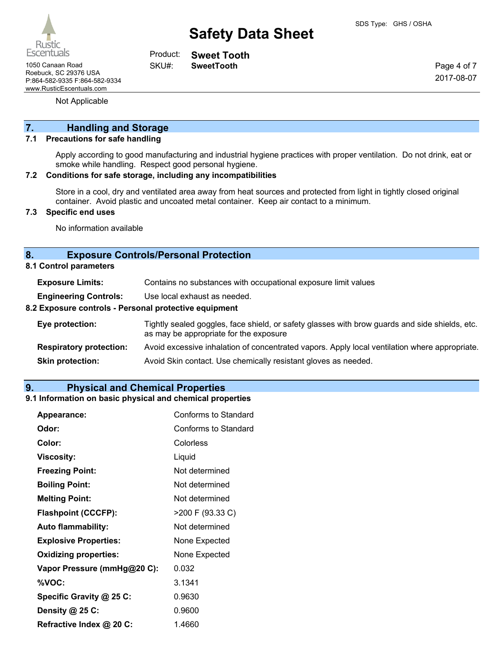Rustic **Escentuals** 

1050 Canaan Road **SweetTooth** Roebuck, SC 29376 USA P:864-582-9335 F:864-582-9334 www.RusticEscentuals.com

**Sweet Tooth** Product: SKU#:

Page 4 of 7 2017-08-07

Not Applicable

## **7. Handling and Storage**

### **7.1 Precautions for safe handling**

Apply according to good manufacturing and industrial hygiene practices with proper ventilation. Do not drink, eat or smoke while handling. Respect good personal hygiene.

#### **7.2 Conditions for safe storage, including any incompatibilities**

Store in a cool, dry and ventilated area away from heat sources and protected from light in tightly closed original container. Avoid plastic and uncoated metal container. Keep air contact to a minimum.

## **7.3 Specific end uses**

No information available

## **8. Exposure Controls/Personal Protection**

**8.1 Control parameters**

| <b>Exposure Limits:</b> |  |  |  | Contains no substances with occupational exposure limit values |
|-------------------------|--|--|--|----------------------------------------------------------------|
|-------------------------|--|--|--|----------------------------------------------------------------|

**Engineering Controls:** Use local exhaust as needed.

#### **8.2 Exposure controls - Personal protective equipment**

| Eye protection:                | Tightly sealed goggles, face shield, or safety glasses with brow guards and side shields, etc.<br>as may be appropriate for the exposure |
|--------------------------------|------------------------------------------------------------------------------------------------------------------------------------------|
| <b>Respiratory protection:</b> | Avoid excessive inhalation of concentrated vapors. Apply local ventilation where appropriate.                                            |
| <b>Skin protection:</b>        | Avoid Skin contact. Use chemically resistant gloves as needed.                                                                           |

## **9. Physical and Chemical Properties**

### **9.1 Information on basic physical and chemical properties**

| Appearance:                  | <b>Conforms to Standard</b> |
|------------------------------|-----------------------------|
| Odor:                        | Conforms to Standard        |
| Color:                       | Colorless                   |
| <b>Viscosity:</b>            | Liquid                      |
| <b>Freezing Point:</b>       | Not determined              |
| <b>Boiling Point:</b>        | Not determined              |
| <b>Melting Point:</b>        | Not determined              |
| <b>Flashpoint (CCCFP):</b>   | >200 F (93.33 C)            |
| <b>Auto flammability:</b>    | Not determined              |
| <b>Explosive Properties:</b> | None Expected               |
| <b>Oxidizing properties:</b> | None Expected               |
| Vapor Pressure (mmHg@20 C):  | 0.032                       |
| %VOC:                        | 3.1341                      |
| Specific Gravity @ 25 C:     | 0.9630                      |
| Density @ 25 C:              | 0.9600                      |
| Refractive Index @ 20 C:     | 1.4660                      |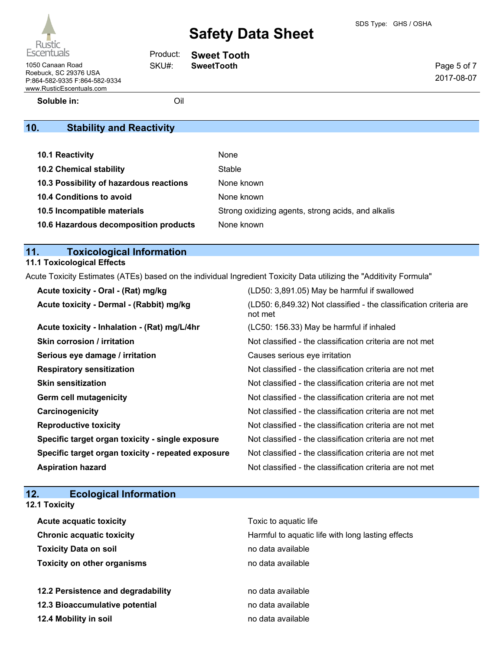| 1050 Canaan Road              |  |
|-------------------------------|--|
| Roebuck, SC 29376 USA         |  |
| P:864-582-9335 F:864-582-9334 |  |
| www.RusticEscentuals.com      |  |
|                               |  |

**Sweet Tooth** SweetTooth Product:

Page 5 of 7 2017-08-07

**Soluble in:** Oil

SKU#:

## **10. Stability and Reactivity**

| 10.1 Reactivity                         | None                                               |
|-----------------------------------------|----------------------------------------------------|
| <b>10.2 Chemical stability</b>          | Stable                                             |
| 10.3 Possibility of hazardous reactions | None known                                         |
| <b>10.4 Conditions to avoid</b>         | None known                                         |
| 10.5 Incompatible materials             | Strong oxidizing agents, strong acids, and alkalis |
| 10.6 Hazardous decomposition products   | None known                                         |

## **11. Toxicological Information**

## **11.1 Toxicological Effects**

Acute Toxicity Estimates (ATEs) based on the individual Ingredient Toxicity Data utilizing the "Additivity Formula"

| Acute toxicity - Oral - (Rat) mg/kg                | (LD50: 3,891.05) May be harmful if swallowed                                 |
|----------------------------------------------------|------------------------------------------------------------------------------|
| Acute toxicity - Dermal - (Rabbit) mg/kg           | (LD50: 6,849.32) Not classified - the classification criteria are<br>not met |
| Acute toxicity - Inhalation - (Rat) mg/L/4hr       | (LC50: 156.33) May be harmful if inhaled                                     |
| <b>Skin corrosion / irritation</b>                 | Not classified - the classification criteria are not met                     |
| Serious eye damage / irritation                    | Causes serious eye irritation                                                |
| <b>Respiratory sensitization</b>                   | Not classified - the classification criteria are not met                     |
| <b>Skin sensitization</b>                          | Not classified - the classification criteria are not met                     |
| <b>Germ cell mutagenicity</b>                      | Not classified - the classification criteria are not met                     |
| Carcinogenicity                                    | Not classified - the classification criteria are not met                     |
| <b>Reproductive toxicity</b>                       | Not classified - the classification criteria are not met                     |
| Specific target organ toxicity - single exposure   | Not classified - the classification criteria are not met                     |
| Specific target organ toxicity - repeated exposure | Not classified - the classification criteria are not met                     |
| <b>Aspiration hazard</b>                           | Not classified - the classification criteria are not met                     |

| 12.<br><b>Ecological Information</b> |                                                   |
|--------------------------------------|---------------------------------------------------|
| <b>12.1 Toxicity</b>                 |                                                   |
| <b>Acute acquatic toxicity</b>       | Toxic to aquatic life                             |
| <b>Chronic acquatic toxicity</b>     | Harmful to aquatic life with long lasting effects |
| <b>Toxicity Data on soil</b>         | no data available                                 |
| <b>Toxicity on other organisms</b>   | no data available                                 |
|                                      |                                                   |
| 12.2 Persistence and degradability   | no data available                                 |
| 12.3 Bioaccumulative potential       | no data available                                 |
| 12.4 Mobility in soil                | no data available                                 |
|                                      |                                                   |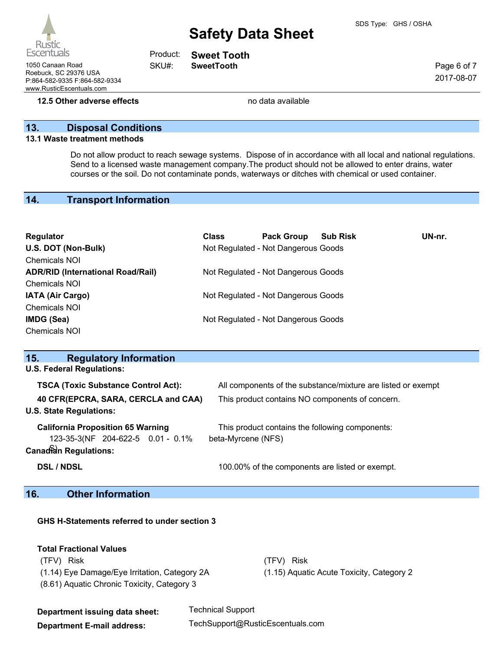Rustic **Escentuals** 

www.RusticEscentuals.com

1050 Canaan Road **SweetTooth** Roebuck, SC 29376 USA P:864-582-9335 F:864-582-9334

**Sweet Tooth** Product:

SKU#:

Page 6 of 7 2017-08-07

**12.5 Other adverse effects no data available no data available** 

## **13. Disposal Conditions**

#### **13.1 Waste treatment methods**

Do not allow product to reach sewage systems. Dispose of in accordance with all local and national regulations. Send to a licensed waste management company.The product should not be allowed to enter drains, water courses or the soil. Do not contaminate ponds, waterways or ditches with chemical or used container.

## **14. Transport Information**

| Regulator                                | <b>Class</b> | <b>Pack Group</b>                   | <b>Sub Risk</b> | UN-nr. |
|------------------------------------------|--------------|-------------------------------------|-----------------|--------|
| U.S. DOT (Non-Bulk)                      |              | Not Regulated - Not Dangerous Goods |                 |        |
| <b>Chemicals NOI</b>                     |              |                                     |                 |        |
| <b>ADR/RID (International Road/Rail)</b> |              | Not Regulated - Not Dangerous Goods |                 |        |
| <b>Chemicals NOI</b>                     |              |                                     |                 |        |
| <b>IATA (Air Cargo)</b>                  |              | Not Regulated - Not Dangerous Goods |                 |        |
| <b>Chemicals NOI</b>                     |              |                                     |                 |        |
| IMDG (Sea)                               |              | Not Regulated - Not Dangerous Goods |                 |        |
| <b>Chemicals NOI</b>                     |              |                                     |                 |        |

| <b>Regulatory Information</b><br>15.       |                                                              |  |  |
|--------------------------------------------|--------------------------------------------------------------|--|--|
| <b>U.S. Federal Regulations:</b>           |                                                              |  |  |
| <b>TSCA (Toxic Substance Control Act):</b> | All components of the substance/mixture are listed or exempt |  |  |
| 40 CFR(EPCRA, SARA, CERCLA and CAA)        | This product contains NO components of concern.              |  |  |
| <b>U.S. State Regulations:</b>             |                                                              |  |  |
| <b>California Proposition 65 Warning</b>   | This product contains the following components:              |  |  |
| 123-35-3(NF 204-622-5 0.01 - 0.1%          | beta-Myrcene (NFS)                                           |  |  |
| <b>Canadian Regulations:</b>               |                                                              |  |  |
| <b>DSL / NDSL</b>                          | 100.00% of the components are listed or exempt.              |  |  |
| Attack to the first contract of the con-   |                                                              |  |  |

## **16. Other Information**

| GHS H-Statements referred to under section 3                                                                                                            |                                                              |                                                                   |  |  |  |
|---------------------------------------------------------------------------------------------------------------------------------------------------------|--------------------------------------------------------------|-------------------------------------------------------------------|--|--|--|
| <b>Total Fractional Values</b><br><b>Risk</b><br>(TFV).<br>(1.14) Eye Damage/Eye Irritation, Category 2A<br>(8.61) Aquatic Chronic Toxicity, Category 3 |                                                              | <b>Risk</b><br>(TFV)<br>(1.15) Aguatic Acute Toxicity, Category 2 |  |  |  |
| Department issuing data sheet:<br><b>Department E-mail address:</b>                                                                                     | <b>Technical Support</b><br>TechSupport@RusticEscentuals.com |                                                                   |  |  |  |